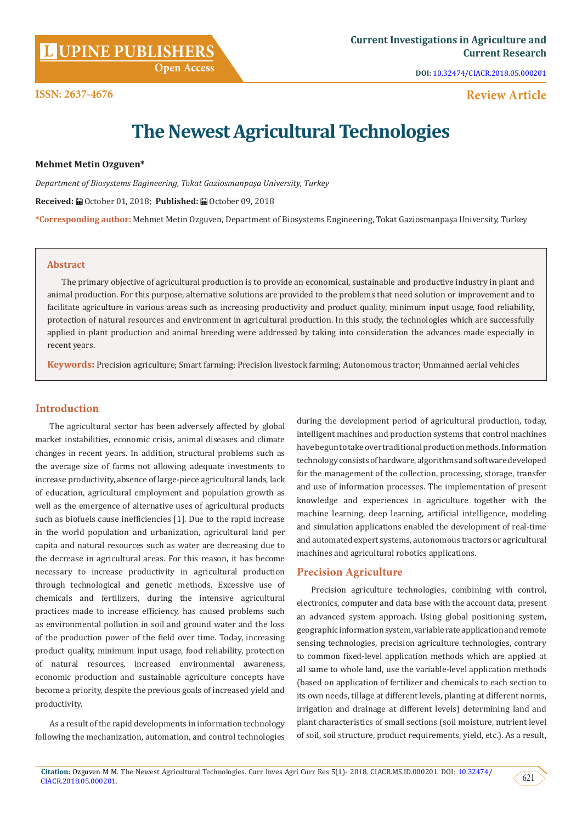**DOI:** [10.32474/CIACR.2018.05.000201](http://dx.doi.org/10.32474/CIACR.2018.05.000201)

# **Review Article**

# **The Newest Agricultural Technologies**

**Mehmet Metin Ozguven\***

*Department of Biosystems Engineering, Tokat Gaziosmanpaşa University, Turkey*

 **Open Access**

Received: **■** October 01, 2018; Published: ■ October 09, 2018

**\*Corresponding author:** Mehmet Metin Ozguven, Department of Biosystems Engineering, Tokat Gaziosmanpaşa University, Turkey

# **Abstract**

The primary objective of agricultural production is to provide an economical, sustainable and productive industry in plant and animal production. For this purpose, alternative solutions are provided to the problems that need solution or improvement and to facilitate agriculture in various areas such as increasing productivity and product quality, minimum input usage, food reliability, protection of natural resources and environment in agricultural production. In this study, the technologies which are successfully applied in plant production and animal breeding were addressed by taking into consideration the advances made especially in recent years.

**Keywords:** Precision agriculture; Smart farming; Precision livestock farming; Autonomous tractor; Unmanned aerial vehicles

# **Introduction**

The agricultural sector has been adversely affected by global market instabilities, economic crisis, animal diseases and climate changes in recent years. In addition, structural problems such as the average size of farms not allowing adequate investments to increase productivity, absence of large-piece agricultural lands, lack of education, agricultural employment and population growth as well as the emergence of alternative uses of agricultural products such as biofuels cause inefficiencies [1]. Due to the rapid increase in the world population and urbanization, agricultural land per capita and natural resources such as water are decreasing due to the decrease in agricultural areas. For this reason, it has become necessary to increase productivity in agricultural production through technological and genetic methods. Excessive use of chemicals and fertilizers, during the intensive agricultural practices made to increase efficiency, has caused problems such as environmental pollution in soil and ground water and the loss of the production power of the field over time. Today, increasing product quality, minimum input usage, food reliability, protection of natural resources, increased environmental awareness, economic production and sustainable agriculture concepts have become a priority, despite the previous goals of increased yield and productivity.

As a result of the rapid developments in information technology following the mechanization, automation, and control technologies during the development period of agricultural production, today, intelligent machines and production systems that control machines have begun to take over traditional production methods. Information technology consists of hardware, algorithms and software developed for the management of the collection, processing, storage, transfer and use of information processes. The implementation of present knowledge and experiences in agriculture together with the machine learning, deep learning, artificial intelligence, modeling and simulation applications enabled the development of real-time and automated expert systems, autonomous tractors or agricultural machines and agricultural robotics applications.

# **Precision Agriculture**

Precision agriculture technologies, combining with control, electronics, computer and data base with the account data, present an advanced system approach. Using global positioning system, geographic information system, variable rate application and remote sensing technologies, precision agriculture technologies, contrary to common fixed-level application methods which are applied at all same to whole land, use the variable-level application methods (based on application of fertilizer and chemicals to each section to its own needs, tillage at different levels, planting at different norms, irrigation and drainage at different levels) determining land and plant characteristics of small sections (soil moisture, nutrient level of soil, soil structure, product requirements, yield, etc.). As a result,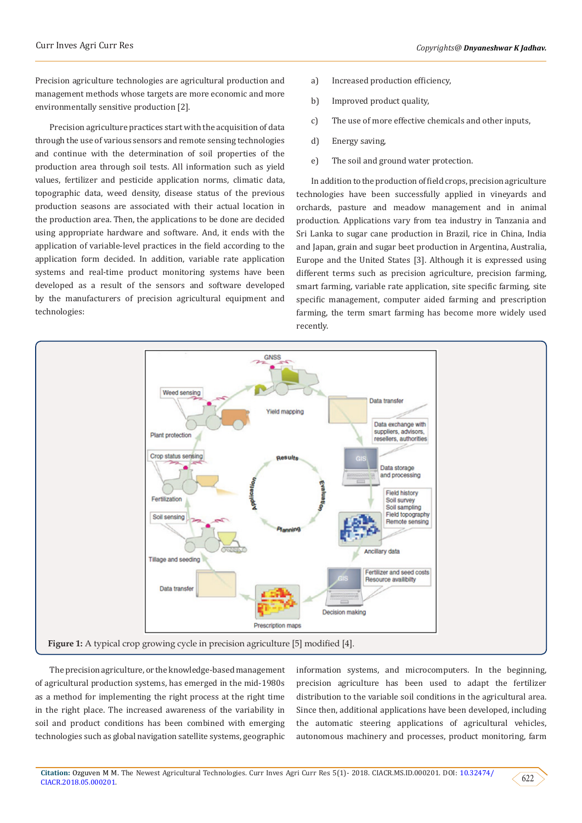Precision agriculture technologies are agricultural production and management methods whose targets are more economic and more environmentally sensitive production [2].

Precision agriculture practices start with the acquisition of data through the use of various sensors and remote sensing technologies and continue with the determination of soil properties of the production area through soil tests. All information such as yield values, fertilizer and pesticide application norms, climatic data, topographic data, weed density, disease status of the previous production seasons are associated with their actual location in the production area. Then, the applications to be done are decided using appropriate hardware and software. And, it ends with the application of variable-level practices in the field according to the application form decided. In addition, variable rate application systems and real-time product monitoring systems have been developed as a result of the sensors and software developed by the manufacturers of precision agricultural equipment and technologies:

- a) Increased production efficiency,
- b) Improved product quality,
- c) The use of more effective chemicals and other inputs,
- d) Energy saving,
- e) The soil and ground water protection.

In addition to the production of field crops, precision agriculture technologies have been successfully applied in vineyards and orchards, pasture and meadow management and in animal production. Applications vary from tea industry in Tanzania and Sri Lanka to sugar cane production in Brazil, rice in China, India and Japan, grain and sugar beet production in Argentina, Australia, Europe and the United States [3]. Although it is expressed using different terms such as precision agriculture, precision farming, smart farming, variable rate application, site specific farming, site specific management, computer aided farming and prescription farming, the term smart farming has become more widely used recently.



The precision agriculture, or the knowledge-based management of agricultural production systems, has emerged in the mid-1980s as a method for implementing the right process at the right time in the right place. The increased awareness of the variability in soil and product conditions has been combined with emerging technologies such as global navigation satellite systems, geographic information systems, and microcomputers. In the beginning, precision agriculture has been used to adapt the fertilizer distribution to the variable soil conditions in the agricultural area. Since then, additional applications have been developed, including the automatic steering applications of agricultural vehicles, autonomous machinery and processes, product monitoring, farm

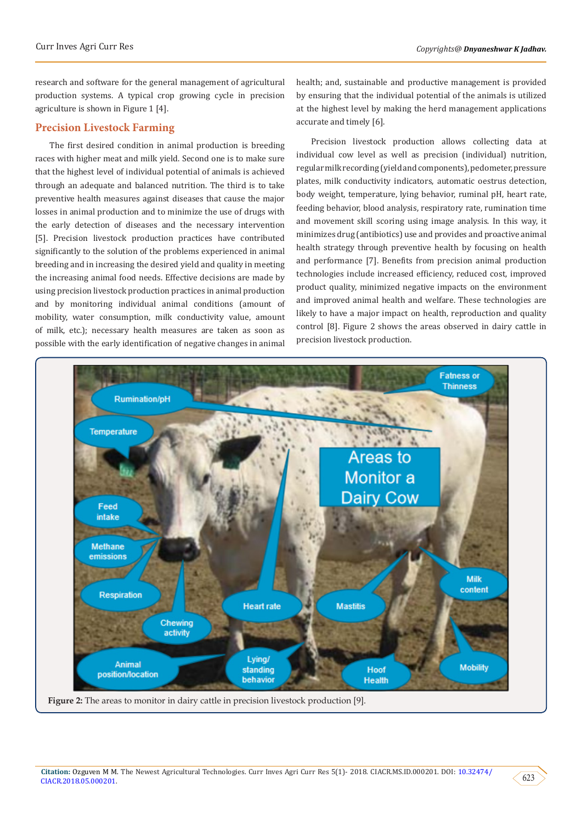research and software for the general management of agricultural production systems. A typical crop growing cycle in precision agriculture is shown in Figure 1 [4].

# **Precision Livestock Farming**

The first desired condition in animal production is breeding races with higher meat and milk yield. Second one is to make sure that the highest level of individual potential of animals is achieved through an adequate and balanced nutrition. The third is to take preventive health measures against diseases that cause the major losses in animal production and to minimize the use of drugs with the early detection of diseases and the necessary intervention [5]. Precision livestock production practices have contributed significantly to the solution of the problems experienced in animal breeding and in increasing the desired yield and quality in meeting the increasing animal food needs. Effective decisions are made by using precision livestock production practices in animal production and by monitoring individual animal conditions (amount of mobility, water consumption, milk conductivity value, amount of milk, etc.); necessary health measures are taken as soon as possible with the early identification of negative changes in animal

health; and, sustainable and productive management is provided by ensuring that the individual potential of the animals is utilized at the highest level by making the herd management applications accurate and timely [6].

Precision livestock production allows collecting data at individual cow level as well as precision (individual) nutrition, regular milk recording (yield and components), pedometer, pressure plates, milk conductivity indicators, automatic oestrus detection, body weight, temperature, lying behavior, ruminal pH, heart rate, feeding behavior, blood analysis, respiratory rate, rumination time and movement skill scoring using image analysis. In this way, it minimizes drug (antibiotics) use and provides and proactive animal health strategy through preventive health by focusing on health and performance [7]. Benefits from precision animal production technologies include increased efficiency, reduced cost, improved product quality, minimized negative impacts on the environment and improved animal health and welfare. These technologies are likely to have a major impact on health, reproduction and quality control [8]. Figure 2 shows the areas observed in dairy cattle in precision livestock production.



**Figure 2:** The areas to monitor in dairy cattle in precision livestock production [9].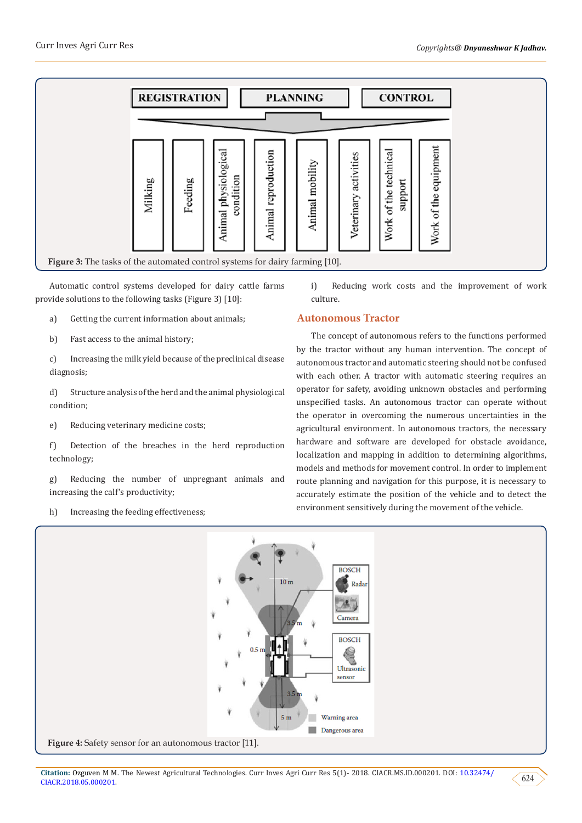

Automatic control systems developed for dairy cattle farms provide solutions to the following tasks (Figure 3) [10]:

a) Getting the current information about animals;

b) Fast access to the animal history;

c) Increasing the milk yield because of the preclinical disease diagnosis;

d) Structure analysis of the herd and the animal physiological condition;

e) Reducing veterinary medicine costs;

f) Detection of the breaches in the herd reproduction technology;

g) Reducing the number of unpregnant animals and increasing the calf's productivity;



h) Increasing the feeding effectiveness;

i) Reducing work costs and the improvement of work culture.

# **Autonomous Tractor**

The concept of autonomous refers to the functions performed by the tractor without any human intervention. The concept of autonomous tractor and automatic steering should not be confused with each other. A tractor with automatic steering requires an operator for safety, avoiding unknown obstacles and performing unspecified tasks. An autonomous tractor can operate without the operator in overcoming the numerous uncertainties in the agricultural environment. In autonomous tractors, the necessary hardware and software are developed for obstacle avoidance, localization and mapping in addition to determining algorithms, models and methods for movement control. In order to implement route planning and navigation for this purpose, it is necessary to accurately estimate the position of the vehicle and to detect the environment sensitively during the movement of the vehicle.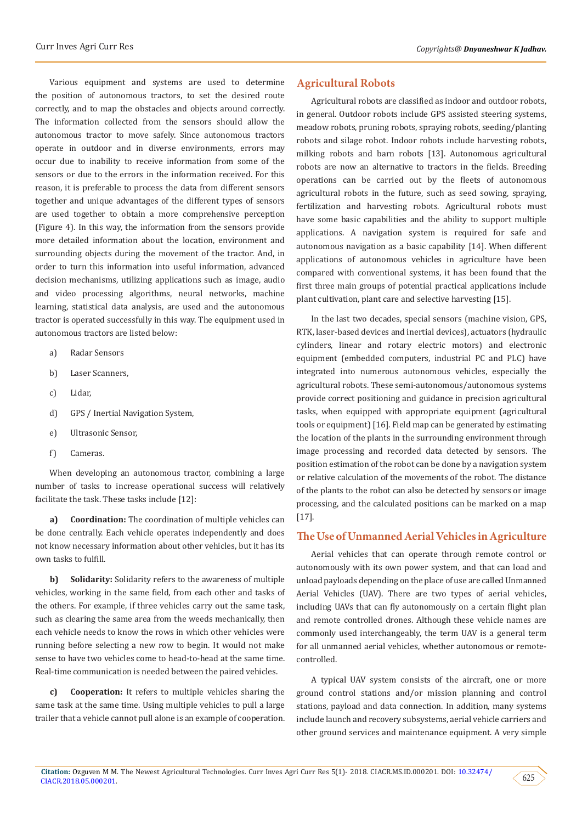Various equipment and systems are used to determine the position of autonomous tractors, to set the desired route correctly, and to map the obstacles and objects around correctly. The information collected from the sensors should allow the autonomous tractor to move safely. Since autonomous tractors operate in outdoor and in diverse environments, errors may occur due to inability to receive information from some of the sensors or due to the errors in the information received. For this reason, it is preferable to process the data from different sensors together and unique advantages of the different types of sensors are used together to obtain a more comprehensive perception (Figure 4). In this way, the information from the sensors provide more detailed information about the location, environment and surrounding objects during the movement of the tractor. And, in order to turn this information into useful information, advanced decision mechanisms, utilizing applications such as image, audio and video processing algorithms, neural networks, machine learning, statistical data analysis, are used and the autonomous tractor is operated successfully in this way. The equipment used in autonomous tractors are listed below:

- a) Radar Sensors
- b) Laser Scanners,
- c) Lidar,
- d) GPS / Inertial Navigation System,
- e) Ultrasonic Sensor,
- f) Cameras.

When developing an autonomous tractor, combining a large number of tasks to increase operational success will relatively facilitate the task. These tasks include [12]:

**a) Coordination:** The coordination of multiple vehicles can be done centrally. Each vehicle operates independently and does not know necessary information about other vehicles, but it has its own tasks to fulfill.

**b) Solidarity:** Solidarity refers to the awareness of multiple vehicles, working in the same field, from each other and tasks of the others. For example, if three vehicles carry out the same task, such as clearing the same area from the weeds mechanically, then each vehicle needs to know the rows in which other vehicles were running before selecting a new row to begin. It would not make sense to have two vehicles come to head-to-head at the same time. Real-time communication is needed between the paired vehicles.

**c) Cooperation:** It refers to multiple vehicles sharing the same task at the same time. Using multiple vehicles to pull a large trailer that a vehicle cannot pull alone is an example of cooperation.

# **Agricultural Robots**

Agricultural robots are classified as indoor and outdoor robots, in general. Outdoor robots include GPS assisted steering systems, meadow robots, pruning robots, spraying robots, seeding/planting robots and silage robot. Indoor robots include harvesting robots, milking robots and barn robots [13]. Autonomous agricultural robots are now an alternative to tractors in the fields. Breeding operations can be carried out by the fleets of autonomous agricultural robots in the future, such as seed sowing, spraying, fertilization and harvesting robots. Agricultural robots must have some basic capabilities and the ability to support multiple applications. A navigation system is required for safe and autonomous navigation as a basic capability [14]. When different applications of autonomous vehicles in agriculture have been compared with conventional systems, it has been found that the first three main groups of potential practical applications include plant cultivation, plant care and selective harvesting [15].

In the last two decades, special sensors (machine vision, GPS, RTK, laser-based devices and inertial devices), actuators (hydraulic cylinders, linear and rotary electric motors) and electronic equipment (embedded computers, industrial PC and PLC) have integrated into numerous autonomous vehicles, especially the agricultural robots. These semi-autonomous/autonomous systems provide correct positioning and guidance in precision agricultural tasks, when equipped with appropriate equipment (agricultural tools or equipment) [16]. Field map can be generated by estimating the location of the plants in the surrounding environment through image processing and recorded data detected by sensors. The position estimation of the robot can be done by a navigation system or relative calculation of the movements of the robot. The distance of the plants to the robot can also be detected by sensors or image processing, and the calculated positions can be marked on a map [17].

#### **The Use of Unmanned Aerial Vehicles in Agriculture**

Aerial vehicles that can operate through remote control or autonomously with its own power system, and that can load and unload payloads depending on the place of use are called Unmanned Aerial Vehicles (UAV). There are two types of aerial vehicles, including UAVs that can fly autonomously on a certain flight plan and remote controlled drones. Although these vehicle names are commonly used interchangeably, the term UAV is a general term for all unmanned aerial vehicles, whether autonomous or remotecontrolled.

A typical UAV system consists of the aircraft, one or more ground control stations and/or mission planning and control stations, payload and data connection. In addition, many systems include launch and recovery subsystems, aerial vehicle carriers and other ground services and maintenance equipment. A very simple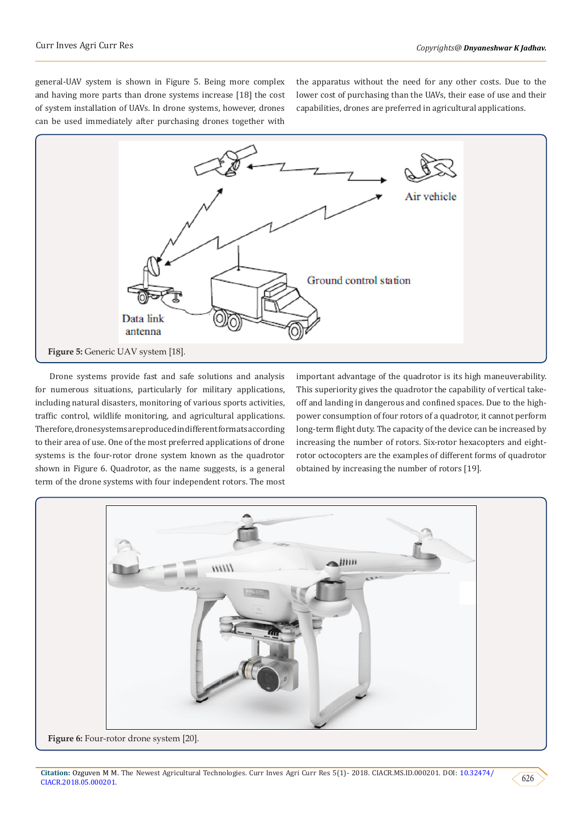general-UAV system is shown in Figure 5. Being more complex and having more parts than drone systems increase [18] the cost of system installation of UAVs. In drone systems, however, drones can be used immediately after purchasing drones together with

the apparatus without the need for any other costs. Due to the lower cost of purchasing than the UAVs, their ease of use and their capabilities, drones are preferred in agricultural applications.



Drone systems provide fast and safe solutions and analysis for numerous situations, particularly for military applications, including natural disasters, monitoring of various sports activities, traffic control, wildlife monitoring, and agricultural applications. Therefore, drone systems are produced in different formats according to their area of use. One of the most preferred applications of drone systems is the four-rotor drone system known as the quadrotor shown in Figure 6. Quadrotor, as the name suggests, is a general term of the drone systems with four independent rotors. The most

important advantage of the quadrotor is its high maneuverability. This superiority gives the quadrotor the capability of vertical takeoff and landing in dangerous and confined spaces. Due to the highpower consumption of four rotors of a quadrotor, it cannot perform long-term flight duty. The capacity of the device can be increased by increasing the number of rotors. Six-rotor hexacopters and eightrotor octocopters are the examples of different forms of quadrotor obtained by increasing the number of rotors [19].

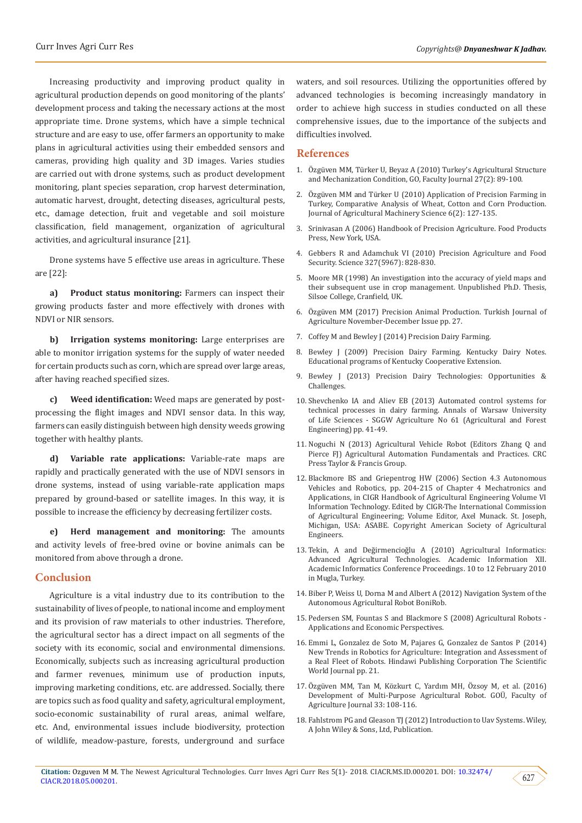Increasing productivity and improving product quality in agricultural production depends on good monitoring of the plants' development process and taking the necessary actions at the most appropriate time. Drone systems, which have a simple technical structure and are easy to use, offer farmers an opportunity to make plans in agricultural activities using their embedded sensors and cameras, providing high quality and 3D images. Varies studies are carried out with drone systems, such as product development monitoring, plant species separation, crop harvest determination, automatic harvest, drought, detecting diseases, agricultural pests, etc., damage detection, fruit and vegetable and soil moisture classification, field management, organization of agricultural activities, and agricultural insurance [21].

Drone systems have 5 effective use areas in agriculture. These are [22]:

**a) Product status monitoring:** Farmers can inspect their growing products faster and more effectively with drones with NDVI or NIR sensors.

**b) Irrigation systems monitoring:** Large enterprises are able to monitor irrigation systems for the supply of water needed for certain products such as corn, which are spread over large areas, after having reached specified sizes.

**c) Weed identification:** Weed maps are generated by postprocessing the flight images and NDVI sensor data. In this way, farmers can easily distinguish between high density weeds growing together with healthy plants.

**d) Variable rate applications:** Variable-rate maps are rapidly and practically generated with the use of NDVI sensors in drone systems, instead of using variable-rate application maps prepared by ground-based or satellite images. In this way, it is possible to increase the efficiency by decreasing fertilizer costs.

**e) Herd management and monitoring:** The amounts and activity levels of free-bred ovine or bovine animals can be monitored from above through a drone.

# **Conclusion**

Agriculture is a vital industry due to its contribution to the sustainability of lives of people, to national income and employment and its provision of raw materials to other industries. Therefore, the agricultural sector has a direct impact on all segments of the society with its economic, social and environmental dimensions. Economically, subjects such as increasing agricultural production and farmer revenues, minimum use of production inputs, improving marketing conditions, etc. are addressed. Socially, there are topics such as food quality and safety, agricultural employment, socio-economic sustainability of rural areas, animal welfare, etc. And, environmental issues include biodiversity, protection of wildlife, meadow-pasture, forests, underground and surface

waters, and soil resources. Utilizing the opportunities offered by advanced technologies is becoming increasingly mandatory in order to achieve high success in studies conducted on all these comprehensive issues, due to the importance of the subjects and difficulties involved.

# **References**

- 1. Özgüven MM, Türker U, Beyaz A (2010) Turkey's Agricultural Structure and Mechanization Condition, GO, Faculty Journal 27(2): 89-100.
- 2. [Özgüven MM and Türker U \(2010\) Application of Precision Farming in](http://tarmakder.org.tr/images/stories/MAKALELER/2010/2010_vol6(2)/2010_vol6(2)_127-135.pdf) [Turkey, Comparative Analysis of Wheat, Cotton and Corn Production.](http://tarmakder.org.tr/images/stories/MAKALELER/2010/2010_vol6(2)/2010_vol6(2)_127-135.pdf) [Journal of Agricultural Machinery Science 6\(2\): 127-135.](http://tarmakder.org.tr/images/stories/MAKALELER/2010/2010_vol6(2)/2010_vol6(2)_127-135.pdf)
- 3. [Srinivasan A \(2006\) Handbook of Precision Agriculture. Food Products](https://www.crcpress.com/Handbook-of-Precision-Agriculture-Principles-and-Applications/SRINIVASAN/p/book/9781560229551) [Press, New York, USA.](https://www.crcpress.com/Handbook-of-Precision-Agriculture-Principles-and-Applications/SRINIVASAN/p/book/9781560229551)
- 4. [Gebbers R and Adamchuk VI \(2010\) Precision Agriculture and Food](http://science.sciencemag.org/content/327/5967/828) [Security. Science 327\(5967\): 828-830.](http://science.sciencemag.org/content/327/5967/828)
- 5. Moore MR (1998) An investigation into the accuracy of yield maps and their subsequent use in crop management. Unpublished Ph.D. Thesis, Silsoe College, Cranfield, UK.
- 6. Özgüven MM (2017) Precision Animal Production. Turkish Journal of Agriculture November-December Issue pp. 27.
- 7. [Coffey M and Bewley J \(2014\) Precision Dairy Farming.](https://afs.ca.uky.edu/files/precision_dairy_farming.pdf)
- 8. [Bewley J \(2009\) Precision Dairy Farming. Kentucky Dairy Notes.](http://www.precisiondairyfarming.com/) [Educational programs of Kentucky Cooperative Extension.](http://www.precisiondairyfarming.com/)
- 9. [Bewley J \(2013\) Precision Dairy Technologies: Opportunities &](http://highplainsdairy.org/2014/Bewley-%20Precision%20Dairy%20Monitoring%20Technology%20opportunities%20and%20Challenges.pdf) [Challenges.](http://highplainsdairy.org/2014/Bewley-%20Precision%20Dairy%20Monitoring%20Technology%20opportunities%20and%20Challenges.pdf)
- 10. [Shevchenko IA and Aliev EB \(2013\) Automated control systems for](http://annals-wuls.sggw.pl/?q=node/618) [technical processes in dairy farming. Annals of Warsaw University](http://annals-wuls.sggw.pl/?q=node/618) [of Life Sciences - SGGW Agriculture No 61 \(Agricultural and Forest](http://annals-wuls.sggw.pl/?q=node/618) [Engineering\) pp. 41-49.](http://annals-wuls.sggw.pl/?q=node/618)
- 11. Noguchi N (2013) Agricultural Vehicle Robot (Editors Zhang Q and Pierce FJ) Agricultural Automation Fundamentals and Practices. CRC Press Taylor & Francis Group.
- 12. Blackmore BS and Griepentrog HW (2006) Section 4.3 Autonomous Vehicles and Robotics, pp. 204-215 of Chapter 4 Mechatronics and Applications, in CIGR Handbook of Agricultural Engineering Volume VI Information Technology. Edited by CIGR-The International Commission of Agricultural Engineering; Volume Editor, Axel Munack. St. Joseph, Michigan, USA: ASABE. Copyright American Society of Agricultural Engineers.
- 13. Tekin, A and Değirmencioğlu A (2010) Agricultural Informatics: Advanced Agricultural Technologies. Academic Information XII. Academic Informatics Conference Proceedings. 10 to 12 February 2010 in Mugla, Turkey.
- 14. [Biber P, Weiss U, Dorna M and Albert A \(2012\) Navigation System of the](https://www.cs.cmu.edu/~mbergerm/agrobotics2012/01Biber.pdf) [Autonomous Agricultural Robot BoniRob.](https://www.cs.cmu.edu/~mbergerm/agrobotics2012/01Biber.pdf)
- 15. [Pedersen SM, Fountas S and Blackmore S \(2008\) Agricultural Robots -](http://cdn.intechweb.org/pdfs/5324.pdf) [Applications and Economic Perspectives.](http://cdn.intechweb.org/pdfs/5324.pdf)
- 16. [Emmi L, Gonzalez de Soto M, Pajares G, Gonzalez de Santos P \(2014\)](https://www.hindawi.com/journals/tswj/2014/404059/) [New Trends in Robotics for Agriculture: Integration and Assessment of](https://www.hindawi.com/journals/tswj/2014/404059/) [a Real Fleet of Robots. Hindawi Publishing Corporation The Scientific](https://www.hindawi.com/journals/tswj/2014/404059/) [World Journal pp. 21](https://www.hindawi.com/journals/tswj/2014/404059/).
- 17. Özgüven MM, Tan M, Közkurt C, Yardım MH, Özsoy M, et al. (2016) Development of Multi-Purpose Agricultural Robot. GOÜ, Faculty of Agriculture Journal 33: 108-116.
- 18. [Fahlstrom PG and Gleason TJ \(2012\) Introduction to Uav Systems. Wiley,](http://rahauav.com/Library/Unmanned%20Vehicles/%5BPaul_Fahlstrom,_Thomas_Gleason%5D_Introduction_to_U_WWW.RahaUAV.com.pdf) [A John Wiley & Sons, Ltd, Publication.](http://rahauav.com/Library/Unmanned%20Vehicles/%5BPaul_Fahlstrom,_Thomas_Gleason%5D_Introduction_to_U_WWW.RahaUAV.com.pdf)